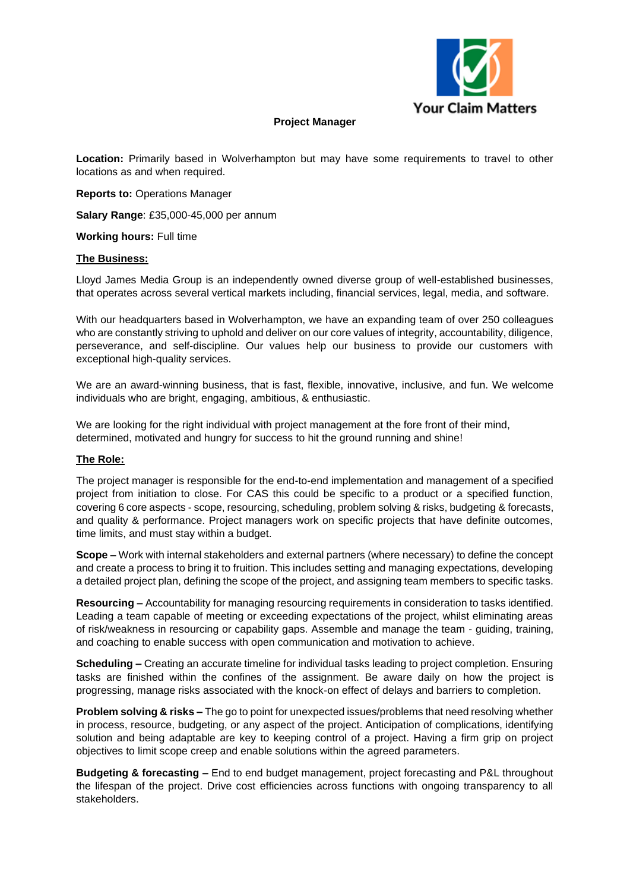

## **Project Manager**

**Location:** Primarily based in Wolverhampton but may have some requirements to travel to other locations as and when required.

**Reports to:** Operations Manager

**Salary Range**: £35,000-45,000 per annum

**Working hours:** Full time

#### **The Business:**

Lloyd James Media Group is an independently owned diverse group of well-established businesses, that operates across several vertical markets including, financial services, legal, media, and software.

With our headquarters based in Wolverhampton, we have an expanding team of over 250 colleagues who are constantly striving to uphold and deliver on our core values of integrity, accountability, diligence, perseverance, and self-discipline. Our values help our business to provide our customers with exceptional high-quality services.

We are an award-winning business, that is fast, flexible, innovative, inclusive, and fun. We welcome individuals who are bright, engaging, ambitious, & enthusiastic.

We are looking for the right individual with project management at the fore front of their mind, determined, motivated and hungry for success to hit the ground running and shine!

## **The Role:**

The project manager is responsible for the end-to-end implementation and management of a specified project from initiation to close. For CAS this could be specific to a product or a specified function, covering 6 core aspects - scope, resourcing, scheduling, problem solving & risks, budgeting & forecasts, and quality & performance. Project managers work on specific projects that have definite outcomes, time limits, and must stay within a budget.

**Scope –** Work with internal stakeholders and external partners (where necessary) to define the concept and create a process to bring it to fruition. This includes setting and managing expectations, developing a detailed project plan, defining the scope of the project, and assigning team members to specific tasks.

**Resourcing –** Accountability for managing resourcing requirements in consideration to tasks identified. Leading a team capable of meeting or exceeding expectations of the project, whilst eliminating areas of risk/weakness in resourcing or capability gaps. Assemble and manage the team - guiding, training, and coaching to enable success with open communication and motivation to achieve.

**Scheduling –** Creating an accurate timeline for individual tasks leading to project completion. Ensuring tasks are finished within the confines of the assignment. Be aware daily on how the project is progressing, manage risks associated with the knock-on effect of delays and barriers to completion.

**Problem solving & risks –** The go to point for unexpected issues/problems that need resolving whether in process, resource, budgeting, or any aspect of the project. Anticipation of complications, identifying solution and being adaptable are key to keeping control of a project. Having a firm grip on project objectives to limit scope creep and enable solutions within the agreed parameters.

**Budgeting & forecasting –** End to end budget management, project forecasting and P&L throughout the lifespan of the project. Drive cost efficiencies across functions with ongoing transparency to all stakeholders.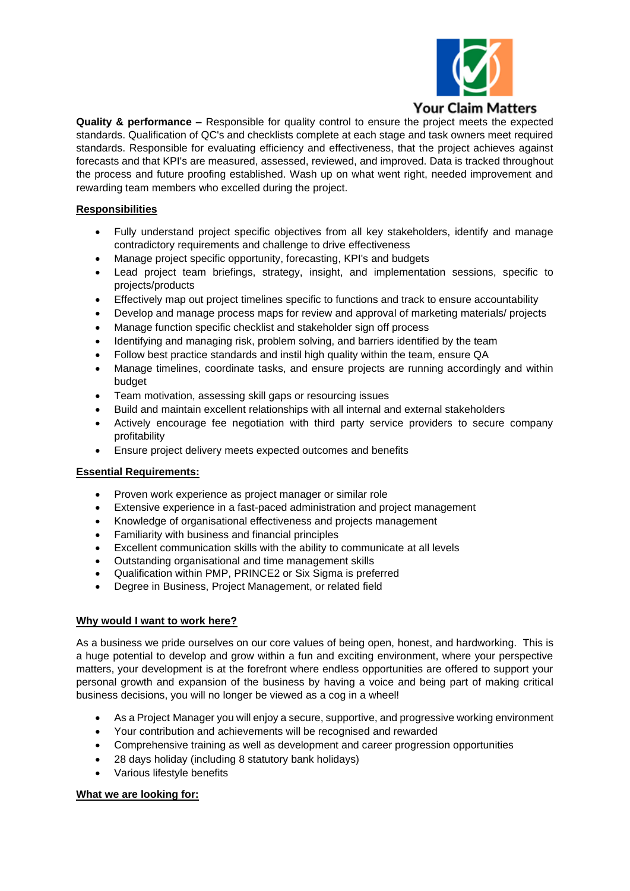

**Quality & performance –** Responsible for quality control to ensure the project meets the expected standards. Qualification of QC's and checklists complete at each stage and task owners meet required standards. Responsible for evaluating efficiency and effectiveness, that the project achieves against forecasts and that KPI's are measured, assessed, reviewed, and improved. Data is tracked throughout the process and future proofing established. Wash up on what went right, needed improvement and rewarding team members who excelled during the project.

# **Responsibilities**

- Fully understand project specific objectives from all key stakeholders, identify and manage contradictory requirements and challenge to drive effectiveness
- Manage project specific opportunity, forecasting, KPI's and budgets
- Lead project team briefings, strategy, insight, and implementation sessions, specific to projects/products
- Effectively map out project timelines specific to functions and track to ensure accountability
- Develop and manage process maps for review and approval of marketing materials/ projects
- Manage function specific checklist and stakeholder sign off process
- Identifying and managing risk, problem solving, and barriers identified by the team
- Follow best practice standards and instil high quality within the team, ensure QA
- Manage timelines, coordinate tasks, and ensure projects are running accordingly and within budget
- Team motivation, assessing skill gaps or resourcing issues
- Build and maintain excellent relationships with all internal and external stakeholders
- Actively encourage fee negotiation with third party service providers to secure company profitability
- Ensure project delivery meets expected outcomes and benefits

## **Essential Requirements:**

- Proven work experience as project manager or similar role
- Extensive experience in a fast-paced administration and project management
- Knowledge of organisational effectiveness and projects management
- Familiarity with business and financial principles
- Excellent communication skills with the ability to communicate at all levels
- Outstanding organisational and time management skills
- Qualification within PMP, PRINCE2 or Six Sigma is preferred
- Degree in Business, Project Management, or related field

## **Why would I want to work here?**

As a business we pride ourselves on our core values of being open, honest, and hardworking. This is a huge potential to develop and grow within a fun and exciting environment, where your perspective matters, your development is at the forefront where endless opportunities are offered to support your personal growth and expansion of the business by having a voice and being part of making critical business decisions, you will no longer be viewed as a cog in a wheel!

- As a Project Manager you will enjoy a secure, supportive, and progressive working environment
- Your contribution and achievements will be recognised and rewarded
- Comprehensive training as well as development and career progression opportunities
- 28 days holiday (including 8 statutory bank holidays)
- Various lifestyle benefits

## **What we are looking for:**